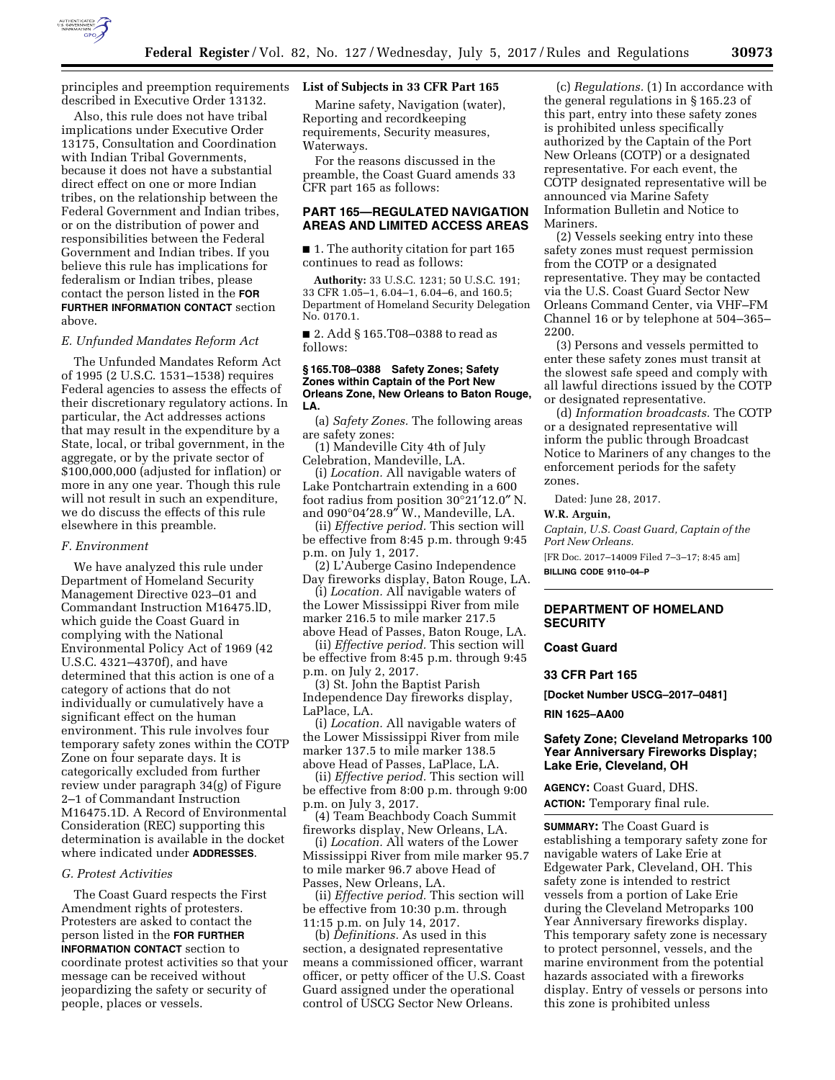

principles and preemption requirements **List of Subjects in 33 CFR Part 165**  described in Executive Order 13132.

Also, this rule does not have tribal implications under Executive Order 13175, Consultation and Coordination with Indian Tribal Governments, because it does not have a substantial direct effect on one or more Indian tribes, on the relationship between the Federal Government and Indian tribes, or on the distribution of power and responsibilities between the Federal Government and Indian tribes. If you believe this rule has implications for federalism or Indian tribes, please contact the person listed in the **FOR FURTHER INFORMATION CONTACT** section above.

## *E. Unfunded Mandates Reform Act*

The Unfunded Mandates Reform Act of 1995 (2 U.S.C. 1531–1538) requires Federal agencies to assess the effects of their discretionary regulatory actions. In particular, the Act addresses actions that may result in the expenditure by a State, local, or tribal government, in the aggregate, or by the private sector of \$100,000,000 (adjusted for inflation) or more in any one year. Though this rule will not result in such an expenditure, we do discuss the effects of this rule elsewhere in this preamble.

#### *F. Environment*

We have analyzed this rule under Department of Homeland Security Management Directive 023–01 and Commandant Instruction M16475.lD, which guide the Coast Guard in complying with the National Environmental Policy Act of 1969 (42 U.S.C. 4321–4370f), and have determined that this action is one of a category of actions that do not individually or cumulatively have a significant effect on the human environment. This rule involves four temporary safety zones within the COTP Zone on four separate days. It is categorically excluded from further review under paragraph 34(g) of Figure 2–1 of Commandant Instruction M16475.1D. A Record of Environmental Consideration (REC) supporting this determination is available in the docket where indicated under **ADDRESSES**.

#### *G. Protest Activities*

The Coast Guard respects the First Amendment rights of protesters. Protesters are asked to contact the person listed in the **FOR FURTHER INFORMATION CONTACT** section to coordinate protest activities so that your message can be received without jeopardizing the safety or security of people, places or vessels.

Marine safety, Navigation (water), Reporting and recordkeeping requirements, Security measures, Waterways.

For the reasons discussed in the preamble, the Coast Guard amends 33 CFR part 165 as follows:

# **PART 165—REGULATED NAVIGATION AREAS AND LIMITED ACCESS AREAS**

■ 1. The authority citation for part 165 continues to read as follows:

**Authority:** 33 U.S.C. 1231; 50 U.S.C. 191; 33 CFR 1.05–1, 6.04–1, 6.04–6, and 160.5; Department of Homeland Security Delegation No. 0170.1.

■ 2. Add § 165.T08–0388 to read as follows:

#### **§ 165.T08–0388 Safety Zones; Safety Zones within Captain of the Port New Orleans Zone, New Orleans to Baton Rouge, LA.**

(a) *Safety Zones.* The following areas are safety zones:

(1) Mandeville City 4th of July Celebration, Mandeville, LA.

(i) *Location.* All navigable waters of Lake Pontchartrain extending in a 600 foot radius from position 30°21′12.0″ N. and 090°04′28.9″ W., Mandeville, LA.

(ii) *Effective period.* This section will be effective from 8:45 p.m. through 9:45 p.m. on July 1, 2017.

(2) L'Auberge Casino Independence Day fireworks display, Baton Rouge, LA.

(i) *Location.* All navigable waters of the Lower Mississippi River from mile marker 216.5 to mile marker 217.5

above Head of Passes, Baton Rouge, LA. (ii) *Effective period.* This section will be effective from 8:45 p.m. through 9:45 p.m. on July 2, 2017.

(3) St. John the Baptist Parish Independence Day fireworks display, LaPlace, LA.

(i) *Location.* All navigable waters of the Lower Mississippi River from mile marker 137.5 to mile marker 138.5 above Head of Passes, LaPlace, LA.

(ii) *Effective period.* This section will be effective from 8:00 p.m. through 9:00 p.m. on July 3, 2017.

(4) Team Beachbody Coach Summit fireworks display, New Orleans, LA.

(i) *Location.* All waters of the Lower Mississippi River from mile marker 95.7 to mile marker 96.7 above Head of Passes, New Orleans, LA.

(ii) *Effective period.* This section will be effective from 10:30 p.m. through 11:15 p.m. on July 14, 2017.

(b) *Definitions.* As used in this section, a designated representative means a commissioned officer, warrant officer, or petty officer of the U.S. Coast Guard assigned under the operational control of USCG Sector New Orleans.

(c) *Regulations.* (1) In accordance with the general regulations in § 165.23 of this part, entry into these safety zones is prohibited unless specifically authorized by the Captain of the Port New Orleans (COTP) or a designated representative. For each event, the COTP designated representative will be announced via Marine Safety Information Bulletin and Notice to Mariners.

(2) Vessels seeking entry into these safety zones must request permission from the COTP or a designated representative. They may be contacted via the U.S. Coast Guard Sector New Orleans Command Center, via VHF–FM Channel 16 or by telephone at 504–365– 2200.

(3) Persons and vessels permitted to enter these safety zones must transit at the slowest safe speed and comply with all lawful directions issued by the COTP or designated representative.

(d) *Information broadcasts.* The COTP or a designated representative will inform the public through Broadcast Notice to Mariners of any changes to the enforcement periods for the safety zones.

Dated: June 28, 2017.

#### **W.R. Arguin,**

*Captain, U.S. Coast Guard, Captain of the Port New Orleans.* 

[FR Doc. 2017–14009 Filed 7–3–17; 8:45 am] **BILLING CODE 9110–04–P** 

## **DEPARTMENT OF HOMELAND SECURITY**

#### **Coast Guard**

## **33 CFR Part 165**

**[Docket Number USCG–2017–0481]** 

**RIN 1625–AA00** 

## **Safety Zone; Cleveland Metroparks 100 Year Anniversary Fireworks Display; Lake Erie, Cleveland, OH**

**AGENCY:** Coast Guard, DHS. **ACTION:** Temporary final rule.

**SUMMARY:** The Coast Guard is establishing a temporary safety zone for navigable waters of Lake Erie at Edgewater Park, Cleveland, OH. This safety zone is intended to restrict vessels from a portion of Lake Erie during the Cleveland Metroparks 100 Year Anniversary fireworks display. This temporary safety zone is necessary to protect personnel, vessels, and the marine environment from the potential hazards associated with a fireworks display. Entry of vessels or persons into this zone is prohibited unless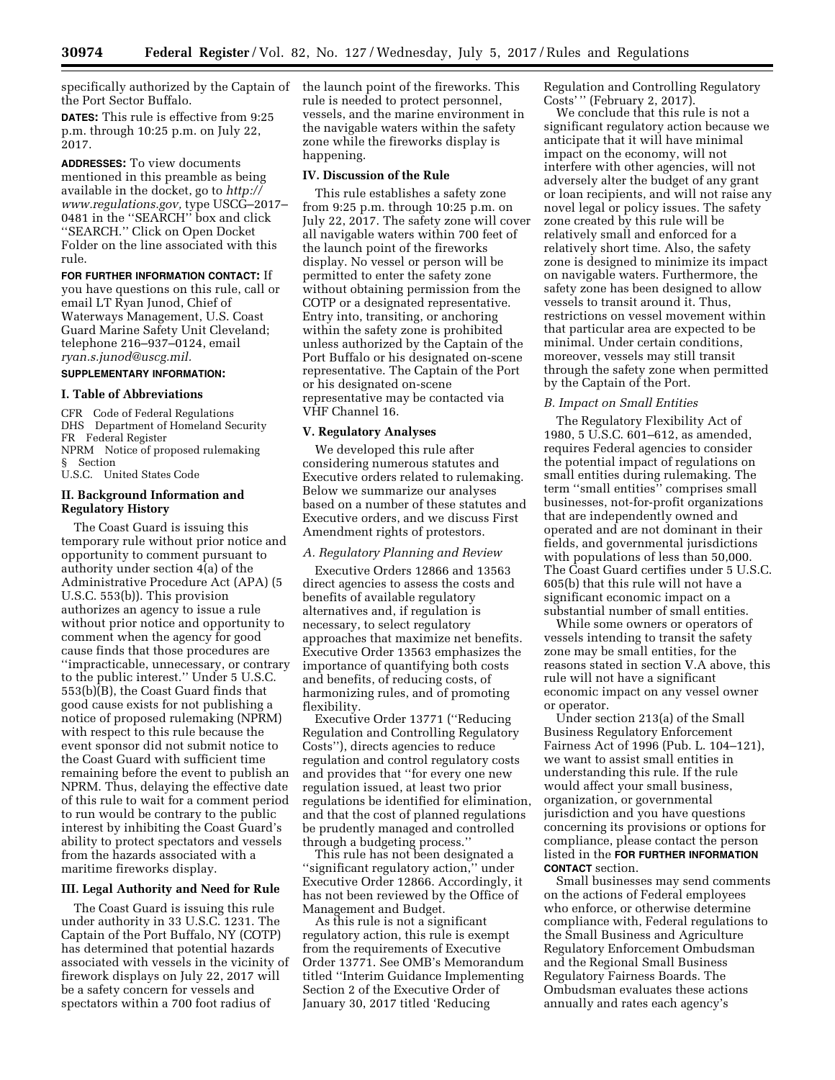specifically authorized by the Captain of the launch point of the fireworks. This the Port Sector Buffalo.

**DATES:** This rule is effective from 9:25 p.m. through 10:25 p.m. on July 22, 2017.

**ADDRESSES:** To view documents mentioned in this preamble as being available in the docket, go to *[http://](http://www.regulations.gov) [www.regulations.gov,](http://www.regulations.gov)* type USCG–2017– 0481 in the ''SEARCH'' box and click ''SEARCH.'' Click on Open Docket Folder on the line associated with this rule.

**FOR FURTHER INFORMATION CONTACT:** If you have questions on this rule, call or email LT Ryan Junod, Chief of Waterways Management, U.S. Coast Guard Marine Safety Unit Cleveland; telephone 216–937–0124, email *[ryan.s.junod@uscg.mil.](mailto:ryan.s.junod@uscg.mil)* 

# **SUPPLEMENTARY INFORMATION:**

## **I. Table of Abbreviations**

CFR Code of Federal Regulations DHS Department of Homeland Security FR Federal Register NPRM Notice of proposed rulemaking § Section

U.S.C. United States Code

## **II. Background Information and Regulatory History**

The Coast Guard is issuing this temporary rule without prior notice and opportunity to comment pursuant to authority under section 4(a) of the Administrative Procedure Act (APA) (5 U.S.C. 553(b)). This provision authorizes an agency to issue a rule without prior notice and opportunity to comment when the agency for good cause finds that those procedures are ''impracticable, unnecessary, or contrary to the public interest.'' Under 5 U.S.C. 553(b)(B), the Coast Guard finds that good cause exists for not publishing a notice of proposed rulemaking (NPRM) with respect to this rule because the event sponsor did not submit notice to the Coast Guard with sufficient time remaining before the event to publish an NPRM. Thus, delaying the effective date of this rule to wait for a comment period to run would be contrary to the public interest by inhibiting the Coast Guard's ability to protect spectators and vessels from the hazards associated with a maritime fireworks display.

## **III. Legal Authority and Need for Rule**

The Coast Guard is issuing this rule under authority in 33 U.S.C. 1231. The Captain of the Port Buffalo, NY (COTP) has determined that potential hazards associated with vessels in the vicinity of firework displays on July 22, 2017 will be a safety concern for vessels and spectators within a 700 foot radius of

rule is needed to protect personnel, vessels, and the marine environment in the navigable waters within the safety zone while the fireworks display is happening.

#### **IV. Discussion of the Rule**

This rule establishes a safety zone from 9:25 p.m. through 10:25 p.m. on July 22, 2017. The safety zone will cover all navigable waters within 700 feet of the launch point of the fireworks display. No vessel or person will be permitted to enter the safety zone without obtaining permission from the COTP or a designated representative. Entry into, transiting, or anchoring within the safety zone is prohibited unless authorized by the Captain of the Port Buffalo or his designated on-scene representative. The Captain of the Port or his designated on-scene representative may be contacted via VHF Channel 16.

## **V. Regulatory Analyses**

We developed this rule after considering numerous statutes and Executive orders related to rulemaking. Below we summarize our analyses based on a number of these statutes and Executive orders, and we discuss First Amendment rights of protestors.

#### *A. Regulatory Planning and Review*

Executive Orders 12866 and 13563 direct agencies to assess the costs and benefits of available regulatory alternatives and, if regulation is necessary, to select regulatory approaches that maximize net benefits. Executive Order 13563 emphasizes the importance of quantifying both costs and benefits, of reducing costs, of harmonizing rules, and of promoting flexibility.

Executive Order 13771 (''Reducing Regulation and Controlling Regulatory Costs''), directs agencies to reduce regulation and control regulatory costs and provides that ''for every one new regulation issued, at least two prior regulations be identified for elimination, and that the cost of planned regulations be prudently managed and controlled through a budgeting process.''

This rule has not been designated a ''significant regulatory action,'' under Executive Order 12866. Accordingly, it has not been reviewed by the Office of Management and Budget.

As this rule is not a significant regulatory action, this rule is exempt from the requirements of Executive Order 13771. See OMB's Memorandum titled ''Interim Guidance Implementing Section 2 of the Executive Order of January 30, 2017 titled 'Reducing

Regulation and Controlling Regulatory Costs' '' (February 2, 2017).

We conclude that this rule is not a significant regulatory action because we anticipate that it will have minimal impact on the economy, will not interfere with other agencies, will not adversely alter the budget of any grant or loan recipients, and will not raise any novel legal or policy issues. The safety zone created by this rule will be relatively small and enforced for a relatively short time. Also, the safety zone is designed to minimize its impact on navigable waters. Furthermore, the safety zone has been designed to allow vessels to transit around it. Thus, restrictions on vessel movement within that particular area are expected to be minimal. Under certain conditions, moreover, vessels may still transit through the safety zone when permitted by the Captain of the Port.

## *B. Impact on Small Entities*

The Regulatory Flexibility Act of 1980, 5 U.S.C. 601–612, as amended, requires Federal agencies to consider the potential impact of regulations on small entities during rulemaking. The term ''small entities'' comprises small businesses, not-for-profit organizations that are independently owned and operated and are not dominant in their fields, and governmental jurisdictions with populations of less than 50,000. The Coast Guard certifies under 5 U.S.C. 605(b) that this rule will not have a significant economic impact on a substantial number of small entities.

While some owners or operators of vessels intending to transit the safety zone may be small entities, for the reasons stated in section V.A above, this rule will not have a significant economic impact on any vessel owner or operator.

Under section 213(a) of the Small Business Regulatory Enforcement Fairness Act of 1996 (Pub. L. 104–121), we want to assist small entities in understanding this rule. If the rule would affect your small business, organization, or governmental jurisdiction and you have questions concerning its provisions or options for compliance, please contact the person listed in the **FOR FURTHER INFORMATION CONTACT** section.

Small businesses may send comments on the actions of Federal employees who enforce, or otherwise determine compliance with, Federal regulations to the Small Business and Agriculture Regulatory Enforcement Ombudsman and the Regional Small Business Regulatory Fairness Boards. The Ombudsman evaluates these actions annually and rates each agency's